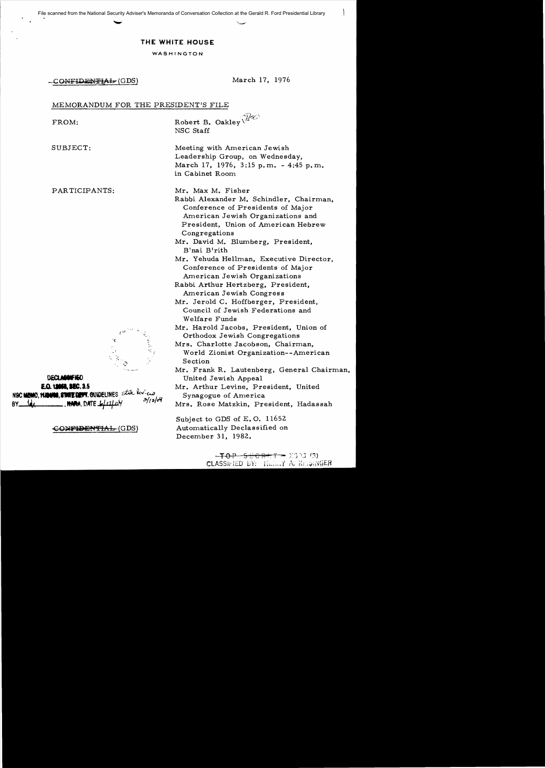## THE WHITE HOUSE

#### WASHINGTON

-CONFIDENTIAL (GDS) March 17, 1976

 $\bigg\}$ 

### MEMORANDUM FOR THE PRESIDENT'S FILE

| FROM:                                                                                                                              | Robert B. Oakley<br>NSC Staff                                                                                                                                                                                                                                                                                                                                                                                                                                                                                                                                                                                                                                                                                                                                                                                                                  |
|------------------------------------------------------------------------------------------------------------------------------------|------------------------------------------------------------------------------------------------------------------------------------------------------------------------------------------------------------------------------------------------------------------------------------------------------------------------------------------------------------------------------------------------------------------------------------------------------------------------------------------------------------------------------------------------------------------------------------------------------------------------------------------------------------------------------------------------------------------------------------------------------------------------------------------------------------------------------------------------|
| SUBJECT:                                                                                                                           | Meeting with American Jewish<br>Leadership Group, on Wednesday,<br>March 17, 1976, 3:15 p.m. - 4:45 p.m.<br>in Cabinet Room                                                                                                                                                                                                                                                                                                                                                                                                                                                                                                                                                                                                                                                                                                                    |
| PARTICIPANTS:<br>κ<br><b>DECLARGHED</b><br>E.O. 12053, SEC. 3.5<br>NSC MEMO, MANING, STATE DEVT. GUIDELINES State leview<br>2/1204 | Mr. Max M. Fisher<br>Rabbi Alexander M. Schindler, Chairman,<br>Conference of Presidents of Major<br>American Jewish Organizations and<br>President, Union of American Hebrew<br>Congregations<br>Mr. David M. Blumberg, President,<br>B'nai B'rith<br>Mr. Yehuda Hellman, Executive Director,<br>Conference of Presidents of Major<br>American Jewish Organizations<br>Rabbi Arthur Hertzberg, President,<br>American Jewish Congress<br>Mr. Jerold C. Hoffberger, President,<br>Council of Jewish Federations and<br>Welfare Funds<br>Mr. Harold Jacobs, President, Union of<br>Orthodox Jewish Congregations<br>Mrs. Charlotte Jacobson, Chairman,<br>World Zionist Organization--American<br>Section<br>Mr. Frank R. Lautenberg, General Chairman,<br>United Jewish Appeal<br>Mr. Arthur Levine, President, United<br>Synagogue of America |
| , HANA, DATE 6/11/0Y<br>B٧.<br>SON <del>FIDENTIAL</del> (GDS)                                                                      | Mrs. Rose Matzkin, President, Hadassah<br>Subject to GDS of $E. O. 11652$<br>Automatically Declassified on<br>December 31, 1982.                                                                                                                                                                                                                                                                                                                                                                                                                                                                                                                                                                                                                                                                                                               |

 $-70P - 9EOR + T = X333(3)$ CLASSIFIED BY: HENRY A, KESINGER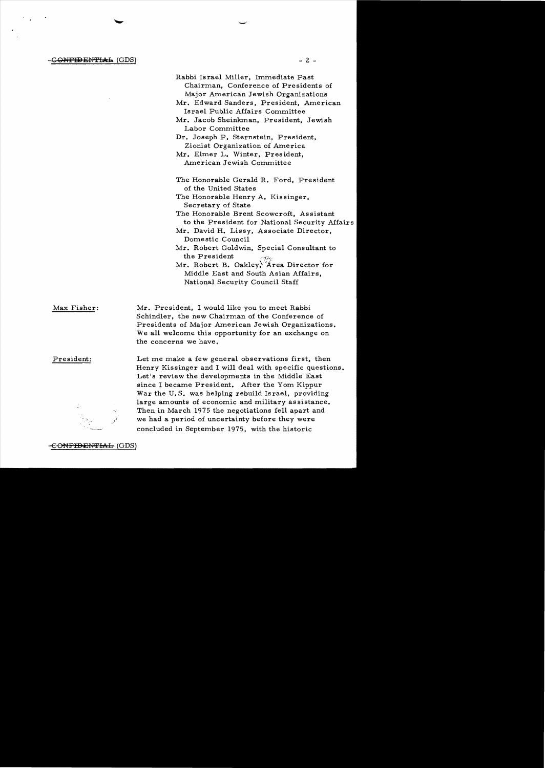$\overline{Q}$  -  $\overline{Q}$  -  $\overline{Q}$  -  $\overline{Q}$  -  $\overline{Q}$  -  $\overline{Q}$  -  $\overline{Q}$  -  $\overline{Q}$  -  $\overline{Q}$  -  $\overline{Q}$  -  $\overline{Q}$  -  $\overline{Q}$  -  $\overline{Q}$  -  $\overline{Q}$  -  $\overline{Q}$  -  $\overline{Q}$  -  $\overline{Q}$  -  $\overline{Q}$  -  $\overline{Q}$  -  $\overline{Q}$  -

Rabbi Israel Miller, Immediate Past Chairman, Conference of Presidents of Major American Jewish Organizations Mr. Edward Sanders, President, American Israel Public Affairs Committee Mr. Jacob Sheinkman, President, Jewish Labor Committee Dr. Joseph P. Sternstein, President, Zionist Organization of America Mr. Elmer L. Winter, President, American Jewish Committee The Honorable Gerald R. Ford, President of the United States The Honorable Henry A. Kissinger, Secretary of State The Honorable Brent Scowcroft, As sistant to the President for National Security Affairs Mr. David H. Lissy, Associate Director, Domestic Council Mr. Robert Goldwin, Special Consultant to the President Mr. Robert B. Oakley, Area Director for Middle East and South Asian Affairs, National Security Council Staff

Max Fisher: Mr. President, I would like you to meet Rabbi Schindler, the new Chairman of the Conference of Presidents of Major American Jewish Organizations. We all welcome this opportunity for an exchange on the concerns we have.

President: Let me make a few general observations first, then Henry Kissinger and I will deal with specific questions. Let's review the developments in the Middle East since I became President. After the Yom Kippur War the U.S. was helping rebuild Israel, providing large amounts of economic and military as sistance. Then in March 1975 the negotiations fell apart and we had a period of uncertainty before they were concluded in September 1975, with the historic

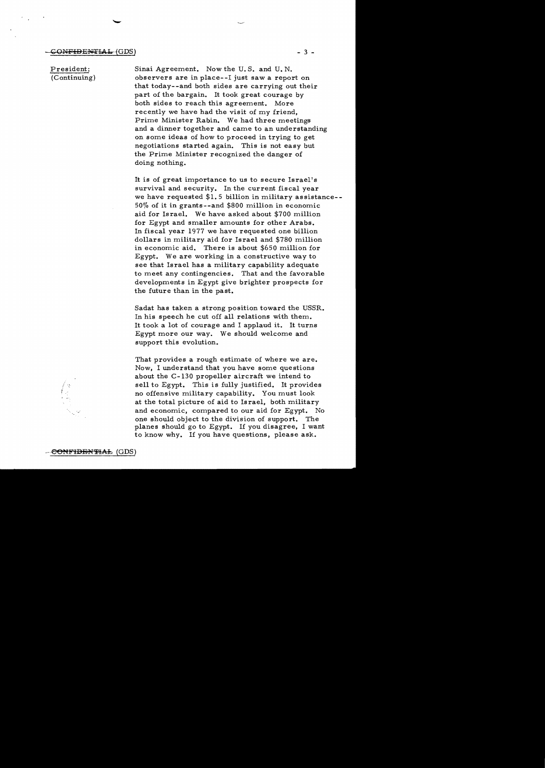President: (Continuing) Sinai Agreement. Now the U. S. and U. N. observers are in place--I just saw a report on that today--and both sides are carrying out their part of the bargain. It took great courage by both sides to reach this agreement. More recently we have had the visit of my friend, Prime Minister Rabin. We had three meetings and a dinner together and came to an understanding on some ideas of how to proceed in trying to get negotiations started again. This is not easy but the Prime Minister recognized the danger of doing nothing.

It is of great importance to us to secure  $\text{Israel's}$ survival and security. In the current fiscal year we have requested \$1. 5 billion in military assistance- 50% of it in grants - -and \$800 million in economic aid for Israel. We have asked about \$700 million for Egypt and smaller amounts for other Arabs. In fiscal year 1977 we have requested one billion dollars in military aid for Israel and \$780 million in economic aid. There is about \$650 million for Egypt. We are working in a constructive way to see that Israel has a military capability adequate to meet any contingencies. That and the favorable developments in Egypt give brighter prospects for the future than in the past.

Sadat has taken a strong position toward the USSR. In his speech he cut off all relations with them. It took a lot of courage and I applaud it. It turns Egypt more our way. We should welcome and support this evolution.

That provides a rough estimate of where we are. Now, I understand that you have some questions about the C-130 propeller aircraft we intend to sell to Egypt. This is fully justified. It provides no offensive military capability. You must look at the total picture of aid to Israel, both military and economic, compared to our aid for Egypt. No one should object to the division of support. The planes should go to Egypt. If you disagree, I want to know why. If you have questions, please ask.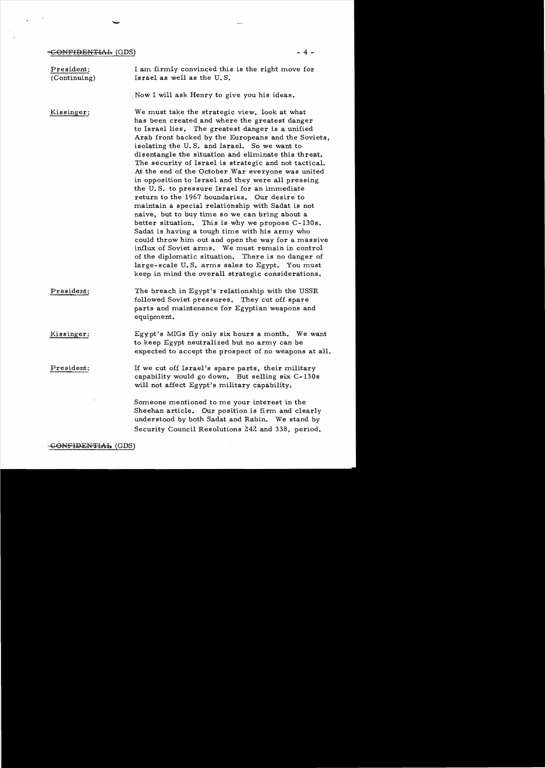## $-**COMFIDENTI**$  (GDS)  $-4$  -

 $\mathcal{F}(\mathcal{F}_{\mathbf{a}})$  and  $\mathcal{F}(\mathcal{F}_{\mathbf{a}})$ 

| President:<br>(Continuing) | I am firmly convinced this is the right move for<br>Israel as well as the U.S.                                                                                                                                                                                                                                                                                                                                                                                                                                                                                                                                                                                                                                                                                                                                                                                                                                                                                                                                                                                              |
|----------------------------|-----------------------------------------------------------------------------------------------------------------------------------------------------------------------------------------------------------------------------------------------------------------------------------------------------------------------------------------------------------------------------------------------------------------------------------------------------------------------------------------------------------------------------------------------------------------------------------------------------------------------------------------------------------------------------------------------------------------------------------------------------------------------------------------------------------------------------------------------------------------------------------------------------------------------------------------------------------------------------------------------------------------------------------------------------------------------------|
|                            | Now I will ask Henry to give you his ideas.                                                                                                                                                                                                                                                                                                                                                                                                                                                                                                                                                                                                                                                                                                                                                                                                                                                                                                                                                                                                                                 |
| Kissinger:                 | We must take the strategic view, look at what<br>has been created and where the greatest danger<br>to Israel lies. The greatest danger is a unified<br>Arab front backed by the Europeans and the Soviets,<br>isolating the U.S. and Israel. So we want to<br>disentangle the situation and eliminate this threat.<br>The security of Israel is strategic and not tactical.<br>At the end of the October War everyone was united<br>in opposition to Israel and they were all pressing<br>the U.S. to pressure Israel for an immediate<br>return to the 1967 boundaries. Our desire to<br>maintain a special relationship with Sadat is not<br>naive, but to buy time so we can bring about a<br>better situation. This is why we propose C-130s.<br>Sadat is having a tough time with his army who<br>could throw him out and open the way for a massive<br>influx of Soviet arms. We must remain in control<br>of the diplomatic situation. There is no danger of<br>large-scale U.S. arms sales to Egypt. You must<br>keep in mind the overall strategic considerations. |
| President:                 | The breach in Egypt's relationship with the USSR<br>followed Soviet pressures. They cut off spare<br>parts and maintenance for Egyptian weapons and<br>equipment.                                                                                                                                                                                                                                                                                                                                                                                                                                                                                                                                                                                                                                                                                                                                                                                                                                                                                                           |
| Kissinger:                 | Egypt's MIGs fly only six hours a month. We want<br>to keep Egypt neutralized but no army can be<br>expected to accept the prospect of no weapons at all.                                                                                                                                                                                                                                                                                                                                                                                                                                                                                                                                                                                                                                                                                                                                                                                                                                                                                                                   |
| President:                 | If we cut off Israel's spare parts, their military<br>capability would go down. But selling six C-130s<br>will not affect Egypt's military capability.                                                                                                                                                                                                                                                                                                                                                                                                                                                                                                                                                                                                                                                                                                                                                                                                                                                                                                                      |
|                            | Someone mentioned to me your interest in the<br>Sheehan article. Our position is firm and clearly<br>understood by both Sadat and Rabin. We stand by<br>Security Council Resolutions 242 and 338, period.                                                                                                                                                                                                                                                                                                                                                                                                                                                                                                                                                                                                                                                                                                                                                                                                                                                                   |

 $\bar{\beta}$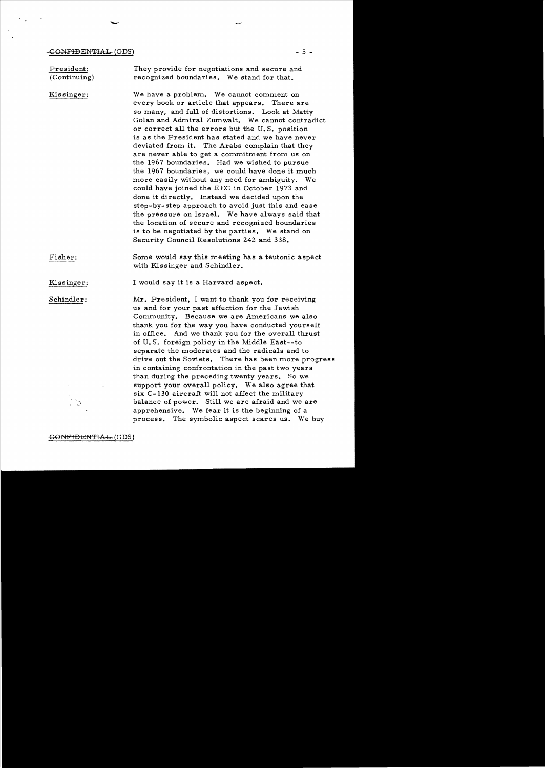#### $-GONFIDENTHAL (GDS)$  - 5 -

President: (Continuing) Kissinger: Fisher: Kissinger: Schindler: They provide for negotiations and secure and recognized boundaries. We stand for that. We have a problem. We cannot comment on every book or article that appears. There are so many, and full of distortions. Look at Matty Golan and Admiral Zumwalt. We cannot contradict or correct all the errors but the U. S. position is as the President has stated and we have never deviated from it. The Arabs complain that they are never able to get a commitment from us on the 1967 boundaries. Had we wished to pursue the 1967 boundaries, we could have done it much more easily without any need for ambiguity. We could have joined the EEC in October 1973 and done it directly. Instead we decided upon the step- by- step approach to avoid just this and ease the pressure on Israel. We have always said that the location of secure and recognized boundaries is to be negotiated by the parties. We stand on Security Council Resolutions 242 and 338. Some would say this meeting has a teutonic aspect with Kissinger and Schindler. I would say it is a Harvard aspect. Mr. President, I want to thank you for receiving us and for your past affection for the Jewish Community. Because we are Americans we also thank you for the way you have conducted yourself in office. And we thank you for the overall thrust of U. S. foreign policy in the Middle East--to separate the moderates and the radicals and to drive out the Soviets. There has been more progress in containing confrontation in the past two years than during the preceding twenty years. So we support your overall policy. We also agree that six C-130 aircraft will not affect the military balance of power. Still we are afraid and we are apprehensive. We fear it is the beginning of a process. The symbolic aspect scares us. We buy

<del>CONFIDENTIAL</del>~(GDS)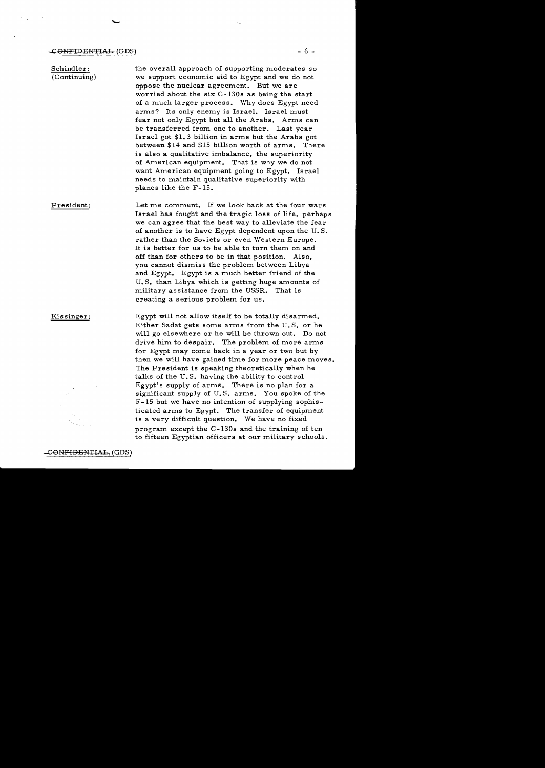Schindler: (Continuing) President: the overall approach of supporting moderates so we support economic aid to Egypt and we do not oppose the nuclear agreement. But we are worried about the six C-130s as being the start of a much larger process. Why does Egypt need arms? Its only enemy is Israel. Israel must fear not only Egypt but all the Arabs. Arms can be transferred from one to another. Last year Israel got \$1. 3 billion in arms but the Arabs got between \$14 and \$15 billion worth of arms. There is also a qualitative imbalance, the superiority of American equipment. That is why we do not want American equipment going to Egypt. Israel needs to maintain qualitative superiority with planes like the F-15. Let me comment. If we look back at the four wars Israel has fought and the tragic loss of life, perhaps we can agree that the best way to alleviate the fear of another is to have Egypt dependent upon the U. S. rather than the Soviets or even Western Europe. It is better for us to be able to turn them on and off than for others to be in that position. Also,

you cannot dismiss the problem between Libya and Egypt. Egypt is a much better friend of the U. S. than Libya which is getting huge amounts of military assistance from the USSR. That is creating a serious problem for us.

Kissinger: Egypt will not allow itself to be totally disarmed. Either Sadat gets some arms from the U. S. or he will go elsewhere or he will be thrown out. Do not drive him to despair. The problem of more arms for Egypt may come back in a year or two but by then we will have gained time for more peace moves. The President is speaking theoretically when he talks of the U. S. having the ability to control Egypt's supply of arms. There is no plan for a significant supply of U. S. arms. You spoke of the F-15 but we have no intention of supplying sophisticated arms to Egypt. The transfer of equipment is a very difficult question. We have no fixed program except the C-130s and the training of ten to fifteen Egyptian officers at our military schools.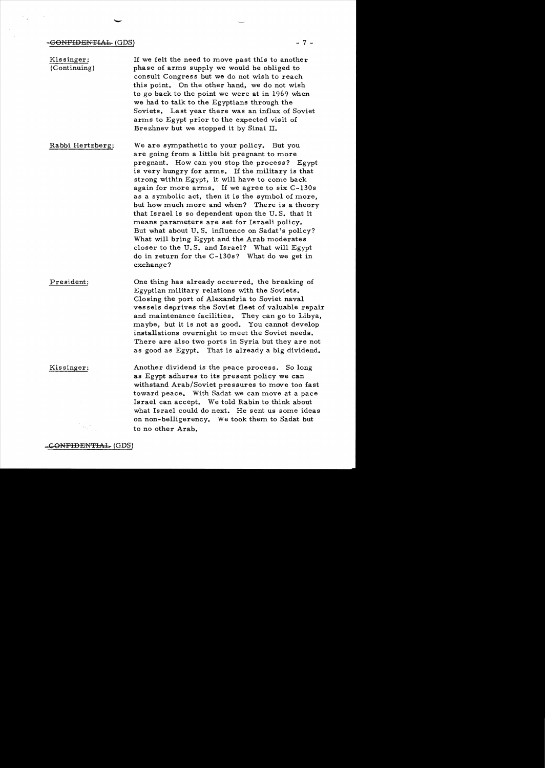-

Kissinger: (Continuing) If we felt the need to move past this to another phase of arms supply we would be obliged to consult Congress but we do not wish to reach this point. On the other hand, we do not wish to go back to the point we were at in 1969 when we had to talk to the Egyptians through the Soviets. Last year there was an influx of Soviet arms to Egypt prior to the expected visit of Brezhnev but we stopped it by Sinai II.

- Rabbi Hertzberg: We are sympathetic to your policy. But you are going from a little bit pregnant to more pregnant. How can you stop the process? Egypt is very hungry for arms. If the military is that strong within Egypt, it will have to come back again for more arms. If we agree to six C-130s as a symbolic act, then it is the symbol of more, but how much more and when? There is a theory that Israel is so dependent upon the U. S. that it means parameters are set for Israeli policy. But what about U. S. influence on Sadat's policy? What will bring Egypt and the Arab moderates closer to the U. S. and Israel? What will Egypt do in return for the C-130s? What do we get in exchange?
- President: One thing has already occurred, the breaking of Egyptian military relations with the Soviets. Closing the port of Alexandria to Soviet naval vessels deprives the Soviet fleet of valuable repair and maintenance facilities. They can go to Libya, maybe, but it is not as good. You cannot develop installations overnight to meet the Soviet needs. There are also two ports in Syria but they are not as good as Egypt. That is already a big dividend.

Kissinger: Another dividend is the peace process. So long as Egypt adheres to its present policy we can withstand Arab/Soviet pressures to move too fast toward peace. With Sadat we can move at a pace Israel can accept. We told Rabin to think about what Israel could do next. He sent us some ideas on non-belligerency. We took them to Sadat but to no other Arab.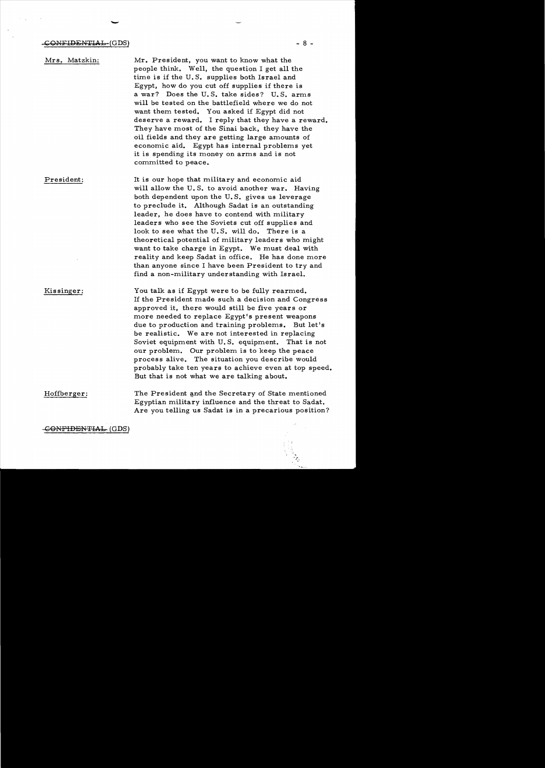-

Mrs. Matzkin: President: Kissinger: Mr. President, you want to know what the people think. Well, the question I get all the time is if the U. S. supplies both Israel and Egypt, how do you cut off supplies if there is a war? Does the U.S. take sides? U.S. arms will be tested on the battlefield where we do not want them tested. You asked if Egypt did not deserve a reward. I reply that they have a reward. They have most of the Sinai back, they have the oil fields and they are getting large amounts of economic aid. Egypt has internal problems yet it is spending its money on arms and is not committed to peace. It is our hope that military and economic aid will allow the U.S. to avoid another war. Having both dependent upon the U. S. gives us leverage to preclude it. Although Sadat is an outstanding leader, he does have to contend with military leaders who see the Soviets cut off supplies and look to see what the U. S. will do. There is a theoretical potential of military leaders who might want to take charge in Egypt. We must deal with reality and keep Sadat in office. He has done more than anyone since I have been President to try and find a non-military understanding with Israel. You talk as if Egypt were to be fully rearmed. If the President made such a decision and Congress approved it, there would still be five years or more needed to replace Egypt's present weapons due to production and training problems. But let's be realistic. We are not interested in replacing Soviet equipment with U.S. equipment. That is not our problem. Our problem is to keep the peace process alive. The situation you describe would probably take ten years to achieve even at top speed. But that is not what we are talking about.

Hoffberger: The President and the Secretary of State mentioned Egyptian military influence and the threat to Sadat. Are you telling us Sadat is in a precarious position?

<del>CONFIDENTIAL.</del> (GDS)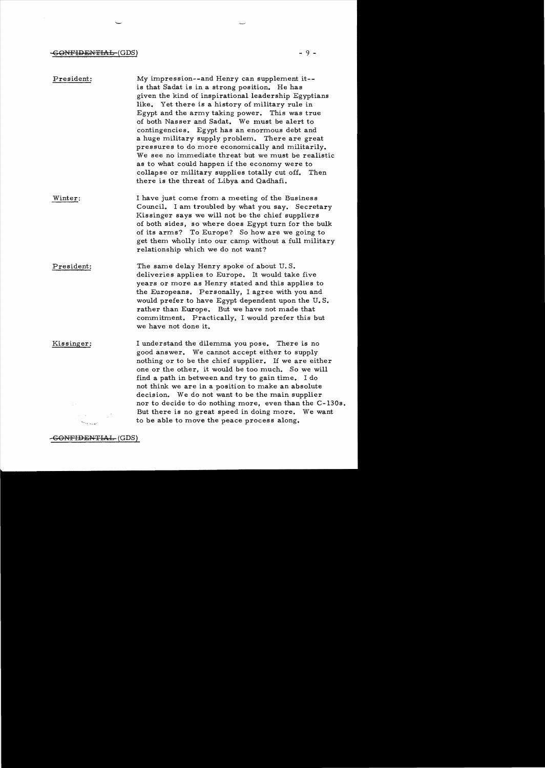## GONFIDENTIAL=(GDS) - 9 -

 $\sim$ 

 $\sim 10^7$ 

| President: | My impression--and Henry can supplement it--<br>is that Sadat is in a strong position. He has<br>given the kind of inspirational leadership Egyptians<br>like. Yet there is a history of military rule in<br>Egypt and the army taking power. This was true<br>of both Nasser and Sadat. We must be alert to<br>contingencies. Egypt has an enormous debt and<br>a huge military supply problem. There are great<br>pressures to do more economically and militarily.<br>We see no immediate threat but we must be realistic<br>as to what could happen if the economy were to<br>collapse or military supplies totally cut off. Then<br>there is the threat of Libya and Qadhafi. |
|------------|------------------------------------------------------------------------------------------------------------------------------------------------------------------------------------------------------------------------------------------------------------------------------------------------------------------------------------------------------------------------------------------------------------------------------------------------------------------------------------------------------------------------------------------------------------------------------------------------------------------------------------------------------------------------------------|
| Winter:    | I have just come from a meeting of the Business<br>Council. I am troubled by what you say. Secretary<br>Kissinger says we will not be the chief suppliers<br>of both sides, so where does Egypt turn for the bulk<br>of its arms? To Europe? So how are we going to<br>get them wholly into our camp without a full military<br>relationship which we do not want?                                                                                                                                                                                                                                                                                                                 |
| President: | The same delay Henry spoke of about U.S.<br>deliveries applies to Europe. It would take five<br>years or more as Henry stated and this applies to<br>the Europeans. Personally, I agree with you and<br>would prefer to have Egypt dependent upon the U.S.<br>rather than Europe. But we have not made that<br>commitment. Practically, I would prefer this but<br>we have not done it.                                                                                                                                                                                                                                                                                            |
| Kissinger: | I understand the dilemma you pose. There is no<br>good answer. We cannot accept either to supply<br>nothing or to be the chief supplier. If we are either<br>one or the other, it would be too much. So we will<br>find a path in between and try to gain time. I do<br>not think we are in a position to make an absolute<br>decision. We do not want to be the main supplier<br>nor to decide to do nothing more, even than the C-130s.<br>But there is no great speed in doing more. We want<br>to be able to move the peace process along.                                                                                                                                     |

GONFIDENTIAL (GDS)

ىپ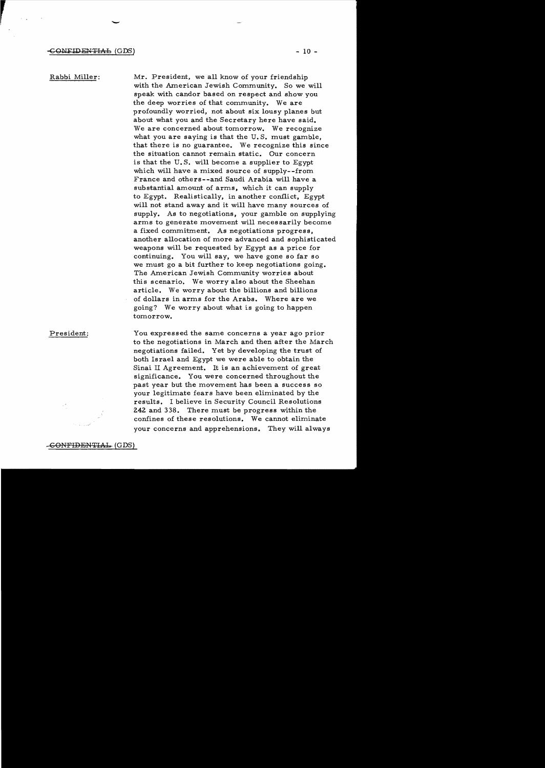Rabbi Miller:

r

Mr. President, we all know of your friendship with the American Jewish Community. So we will speak with candor based on respect and show you the deep worries of that community. We are profoundly worried, not about six lousy planes but about what you and the Secretary here have said. We are concerned about tomorrow. We recognize what you are saying is that the U. S. must gamble, that there is no guarantee. We recognize this since the situation cannot remain static. Our concern is that the U. S. will become a supplier to Egypt which will have a mixed source of supply--from France and others--and Saudi Arabia will have a substantial amount of arms, which it can supply to Egypt. Realistically, in another conflict, Egypt will not stand away and it will have many sources of supply. As to negotiations, your gamble on supplying arms to generate movement will necessarily become a fixed commitment. As negotiations progress, another allocation of more advanced and sophisticated weapons will be requested by Egypt as a price for continuing. You will say, we have gone so far so we must go a bit further to keep negotiations going. The American Jewish Community worries about this scenario. We worry also about the Sheehan article. We worry about the billions and billions of dollars in arms for the Arabs. Where are we going? We worry about what is going to happen tomorrow.

President:

You expressed the same concerns a year ago prior to the negotiations in March and then after the March negotiations failed. Yet by developing the trust of both Israe1 and Egypt we were able to obtain the Sinai II Agreement. It is an achievement of great significance. You were concerned throughout the past year but the movement has been a success so your legitimate fears have been eliminated by the results. I believe in Security Council Resolutions 242 and 338. There must be progress within the confines of these resolutions. We cannot eliminate your concerns and apprehensions. They will always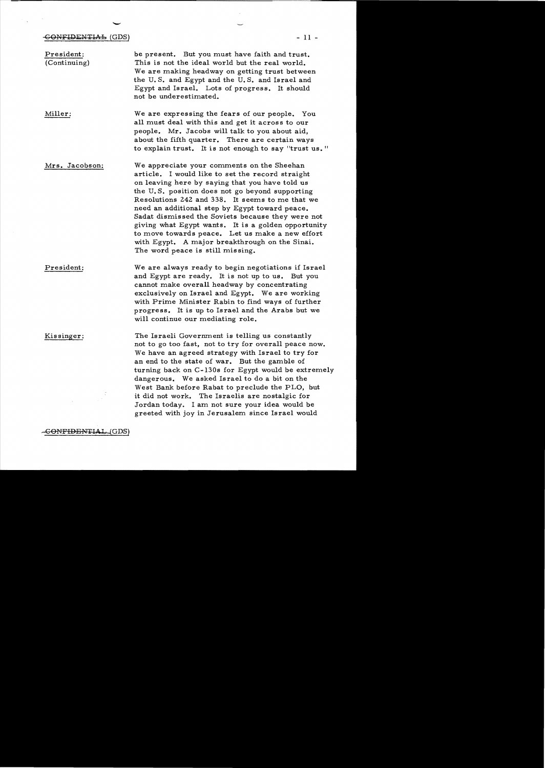# ب<br>G<del>ONFIDENTIAL</del> (GDS)

 $\frac{1}{2}$ 

 $\sim 10^{10}$ 

| President:<br>(Continuing) | be present. But you must have faith and trust.<br>This is not the ideal world but the real world.<br>We are making headway on getting trust between<br>the U.S. and Egypt and the U.S. and Israel and<br>Egypt and Israel. Lots of progress. It should<br>not be underestimated.                                                                                                                                                                                                                                                                               |
|----------------------------|----------------------------------------------------------------------------------------------------------------------------------------------------------------------------------------------------------------------------------------------------------------------------------------------------------------------------------------------------------------------------------------------------------------------------------------------------------------------------------------------------------------------------------------------------------------|
| Miller:                    | We are expressing the fears of our people. You<br>all must deal with this and get it across to our<br>people. Mr. Jacobs will talk to you about aid,<br>about the fifth quarter. There are certain ways<br>to explain trust. It is not enough to say "trust us."                                                                                                                                                                                                                                                                                               |
| Mrs. Jacobson:             | We appreciate your comments on the Sheehan<br>article. I would like to set the record straight<br>on leaving here by saying that you have told us<br>the U.S. position does not go beyond supporting<br>Resolutions 242 and 338. It seems to me that we<br>need an additional step by Egypt toward peace.<br>Sadat dismissed the Soviets because they were not<br>giving what Egypt wants. It is a golden opportunity<br>to move towards peace. Let us make a new effort<br>with Egypt. A major breakthrough on the Sinai.<br>The word peace is still missing. |
| President:                 | We are always ready to begin negotiations if Israel<br>and Egypt are ready. It is not up to us. But you<br>cannot make overall headway by concentrating<br>exclusively on Israel and Egypt. We are working<br>with Prime Minister Rabin to find ways of further<br>progress. It is up to Israel and the Arabs but we<br>will continue our mediating role.                                                                                                                                                                                                      |
| Kissinger:                 | The Israeli Government is telling us constantly<br>not to go too fast, not to try for overall peace now.<br>We have an agreed strategy with Israel to try for<br>an end to the state of war. But the gamble of<br>turning back on C-130s for Egypt would be extremely<br>dangerous. We asked Israel to do a bit on the<br>West Bank before Rabat to preclude the PLO, but<br>it did not work. The Israelis are nostalgic for<br>Jordan today. I am not sure your idea would be<br>greeted with joy in Jerusalem since Israel would                             |

-GONFIDENTIAL (GDS)

- 11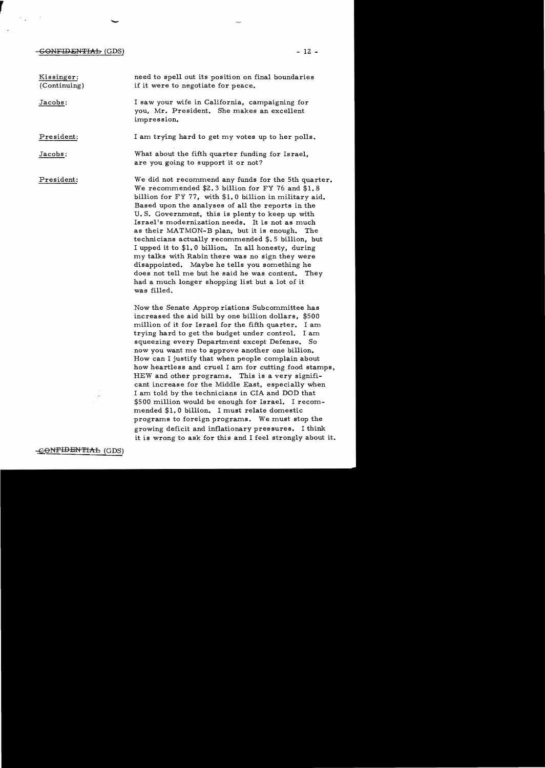## -GONFIDENTIAL (GDS)

 $\mathcal{F}_{\mathbf{q},\mathbf{q}}$  and  $\mathcal{F}_{\mathbf{q}}$ 

 $\mathcal{L}_{\mathbf{z}}$ 

-

| Kissinger:<br>(Continuing) | need to spell out its position on final boundaries<br>if it were to negotiate for peace.                                                                                                                                                                                                                                                                                                                                                                                                                                                                                                                                                                                                                                                                                                                                                                                        |
|----------------------------|---------------------------------------------------------------------------------------------------------------------------------------------------------------------------------------------------------------------------------------------------------------------------------------------------------------------------------------------------------------------------------------------------------------------------------------------------------------------------------------------------------------------------------------------------------------------------------------------------------------------------------------------------------------------------------------------------------------------------------------------------------------------------------------------------------------------------------------------------------------------------------|
| Jacobs:                    | I saw your wife in California, campaigning for<br>you, Mr. President. She makes an excellent<br>impression.                                                                                                                                                                                                                                                                                                                                                                                                                                                                                                                                                                                                                                                                                                                                                                     |
| President:                 | I am trying hard to get my votes up to her polls.                                                                                                                                                                                                                                                                                                                                                                                                                                                                                                                                                                                                                                                                                                                                                                                                                               |
| Jacobs:                    | What about the fifth quarter funding for Israel,<br>are you going to support it or not?                                                                                                                                                                                                                                                                                                                                                                                                                                                                                                                                                                                                                                                                                                                                                                                         |
| President:                 | We did not recommend any funds for the 5th quarter.<br>We recommended \$2.3 billion for FY 76 and \$1.8<br>billion for FY 77, with \$1.0 billion in military aid.<br>Based upon the analyses of all the reports in the<br>U.S. Government, this is plenty to keep up with<br>Israel's modernization needs. It is not as much<br>as their MATMON-B plan, but it is enough. The<br>technicians actually recommended $$.5$ billion, but<br>I upped it to \$1.0 billion. In all honesty, during<br>my talks with Rabin there was no sign they were<br>disappointed. Maybe he tells you something he<br>does not tell me but he said he was content. They<br>had a much longer shopping list but a lot of it<br>was filled.                                                                                                                                                          |
| CONFIDENTIAL (GDS)         | Now the Senate Approp riations Subcommittee has<br>increased the aid bill by one billion dollars, \$500<br>million of it for Israel for the fifth quarter. I am<br>trying hard to get the budget under control. I am<br>squeezing every Department except Defense. So<br>now you want me to approve another one billion.<br>How can I justify that when people complain about<br>how heartless and cruel I am for cutting food stamps,<br>HEW and other programs. This is a very signifi-<br>cant increase for the Middle East, especially when<br>I am told by the technicians in CIA and DOD that<br>\$500 million would be enough for Israel. I recom-<br>mended \$1.0 billion. I must relate domestic<br>programs to foreign programs. We must stop the<br>growing deficit and inflationary pressures. I think<br>it is wrong to ask for this and I feel strongly about it. |